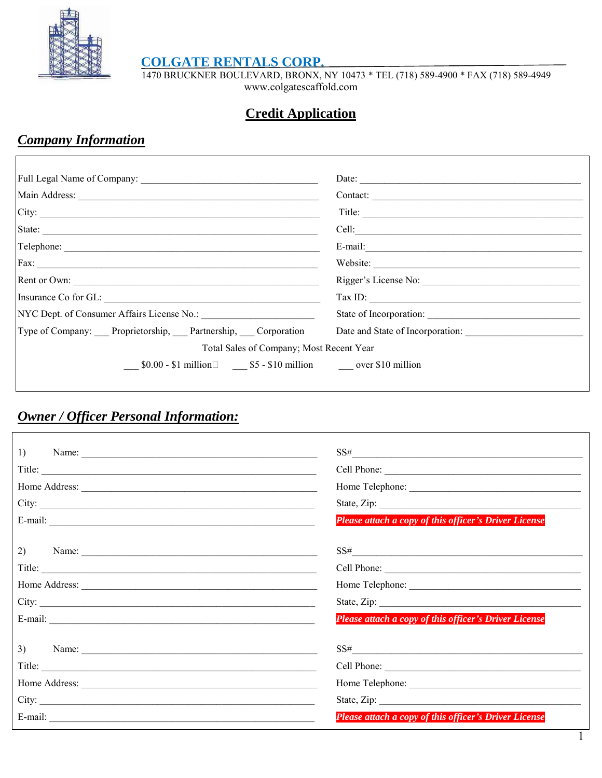

COLGATE RENTALS CORP.<br>1470 BRUCKNER BOULEVARD, BRONX, NY 10473 \* TEL (718) 589-4900 \* FAX (718) 589-4949 www.colgatescaffold.com

## **Credit Application**

# **Company Information**

|                                                                           | Date:                                                                                                                                                                                                                                                                                                                                                                                                                                                                                                                                                        |  |  |  |
|---------------------------------------------------------------------------|--------------------------------------------------------------------------------------------------------------------------------------------------------------------------------------------------------------------------------------------------------------------------------------------------------------------------------------------------------------------------------------------------------------------------------------------------------------------------------------------------------------------------------------------------------------|--|--|--|
|                                                                           | Contact:                                                                                                                                                                                                                                                                                                                                                                                                                                                                                                                                                     |  |  |  |
| City:                                                                     | Title:                                                                                                                                                                                                                                                                                                                                                                                                                                                                                                                                                       |  |  |  |
| State:                                                                    |                                                                                                                                                                                                                                                                                                                                                                                                                                                                                                                                                              |  |  |  |
| Telephone:                                                                |                                                                                                                                                                                                                                                                                                                                                                                                                                                                                                                                                              |  |  |  |
|                                                                           | Website:                                                                                                                                                                                                                                                                                                                                                                                                                                                                                                                                                     |  |  |  |
|                                                                           |                                                                                                                                                                                                                                                                                                                                                                                                                                                                                                                                                              |  |  |  |
| Insurance Co for GL:                                                      | $\boxed{\text{Tax ID:}\n \underline{\hspace{2cm}}\n \underline{\hspace{2cm}}\n \underline{\hspace{2cm}}\n \underline{\hspace{2cm}}\n \underline{\hspace{2cm}}\n \underline{\hspace{2cm}}\n \underline{\hspace{2cm}}\n \underline{\hspace{2cm}}\n \underline{\hspace{2cm}}\n \underline{\hspace{2cm}}\n \underline{\hspace{2cm}}\n \underline{\hspace{2cm}}\n \underline{\hspace{2cm}}\n \underline{\hspace{2cm}}\n \underline{\hspace{2cm}}\n \underline{\hspace{2cm}}\n \underline{\hspace{2cm}}\n \underline{\hspace{2cm}}\n \underline{\hspace{2cm}}\n \$ |  |  |  |
|                                                                           | State of Incorporation:                                                                                                                                                                                                                                                                                                                                                                                                                                                                                                                                      |  |  |  |
| Type of Company: Proprietorship, Partnership, Corporation                 | Date and State of Incorporation:                                                                                                                                                                                                                                                                                                                                                                                                                                                                                                                             |  |  |  |
| Total Sales of Company; Most Recent Year                                  |                                                                                                                                                                                                                                                                                                                                                                                                                                                                                                                                                              |  |  |  |
| $$0.00 - $1 \text{ million}$ $$5 - $10 \text{ million}$ over \$10 million |                                                                                                                                                                                                                                                                                                                                                                                                                                                                                                                                                              |  |  |  |

## **Owner / Officer Personal Information:**

|            | $SS\#$                                                |
|------------|-------------------------------------------------------|
| Title:     |                                                       |
|            |                                                       |
|            |                                                       |
|            | Please attach a copy of this officer's Driver License |
|            | $SS\#$                                                |
|            |                                                       |
|            | Home Telephone:                                       |
|            |                                                       |
|            | Please attach a copy of this officer's Driver License |
| $3)$ Name: | $SS\#$                                                |
|            |                                                       |
|            | Home Telephone:                                       |
| City:      | State, Zip:                                           |
|            | Please attach a copy of this officer's Driver License |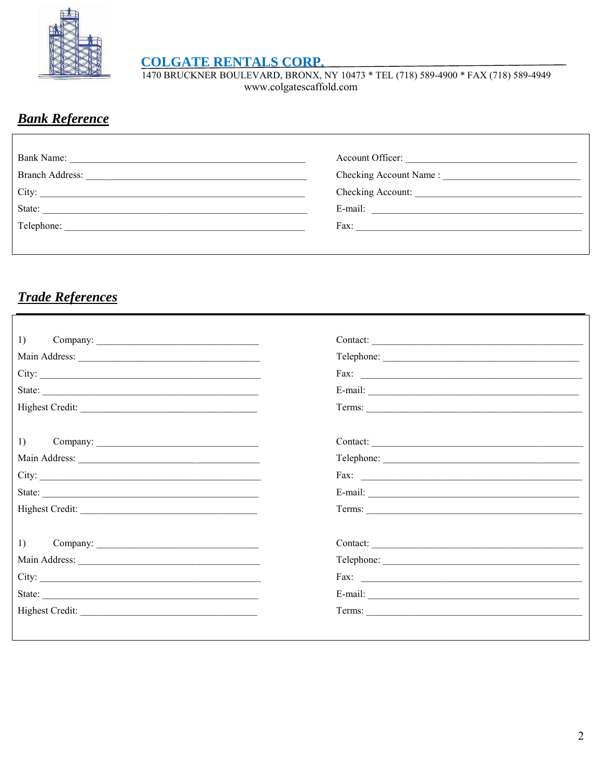

**COLGATE RENTALS CORP.**<br>1470 BRUCKNER BOULEVARD, BRONX, NY 10473 \* TEL (718) 589-4900 \* FAX (718) 589-4949 www.colgatescaffold.com

## **Bank Reference**

|                                                                                                                                                                                                                                                  | Account Officer:     |
|--------------------------------------------------------------------------------------------------------------------------------------------------------------------------------------------------------------------------------------------------|----------------------|
| Branch Address:<br>the control of the control of the control of the control of the control of the control of the control of the control of the control of the control of the control of the control of the control of the control of the control |                      |
| City:                                                                                                                                                                                                                                            | Checking Account:    |
| State:                                                                                                                                                                                                                                           | E-mail:              |
| Telephone:                                                                                                                                                                                                                                       | Fax: $\qquad \qquad$ |
|                                                                                                                                                                                                                                                  |                      |

# **Trade References**

|        | Contact:             |
|--------|----------------------|
|        | Telephone:           |
| City:  |                      |
| State: |                      |
|        | Terms:               |
|        | Contact:             |
|        |                      |
|        |                      |
| State: |                      |
|        |                      |
|        |                      |
|        | Telephone:           |
|        | Fax: $\qquad \qquad$ |
|        |                      |
|        | Terms:               |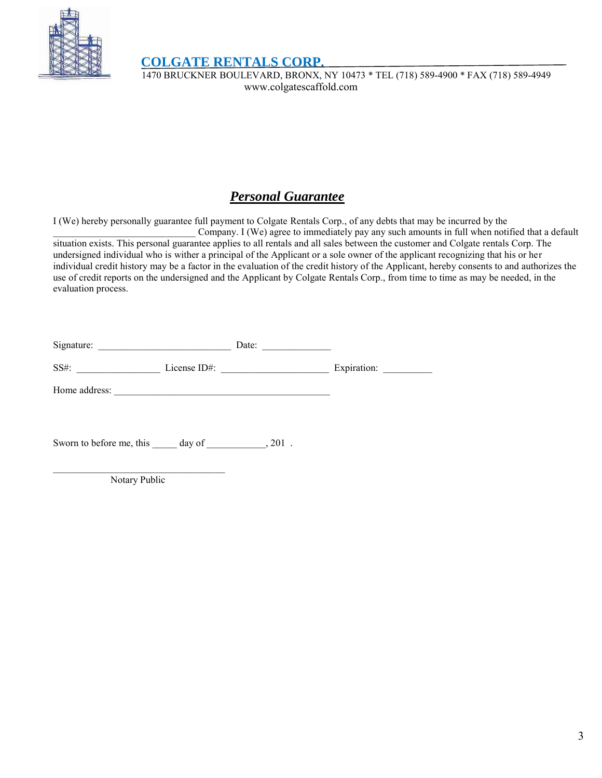

 **COLGATE RENTALS CORP.** 

 1470 BRUCKNER BOULEVARD, BRONX, NY 10473 \* TEL (718) 589-4900 \* FAX (718) 589-4949 www.colgatescaffold.com

# *Personal Guarantee*

I (We) hereby personally guarantee full payment to Colgate Rentals Corp., of any debts that may be incurred by the Company. I (We) agree to immediately pay any such amounts in full when notified that a default

situation exists. This personal guarantee applies to all rentals and all sales between the customer and Colgate rentals Corp. The undersigned individual who is wither a principal of the Applicant or a sole owner of the applicant recognizing that his or her individual credit history may be a factor in the evaluation of the credit history of the Applicant, hereby consents to and authorizes the use of credit reports on the undersigned and the Applicant by Colgate Rentals Corp., from time to time as may be needed, in the evaluation process.

| Signature:    |                 | Date: |             |
|---------------|-----------------|-------|-------------|
| $SS#$ :       | License $ID#$ : |       | Expiration: |
| Home address: |                 |       |             |

Sworn to before me, this day of \_\_\_\_\_\_\_\_\_\_\_\_, 201.

\_\_\_\_\_\_\_\_\_\_\_\_\_\_\_\_\_\_\_\_\_\_\_\_\_\_\_\_\_\_\_\_\_\_\_ Notary Public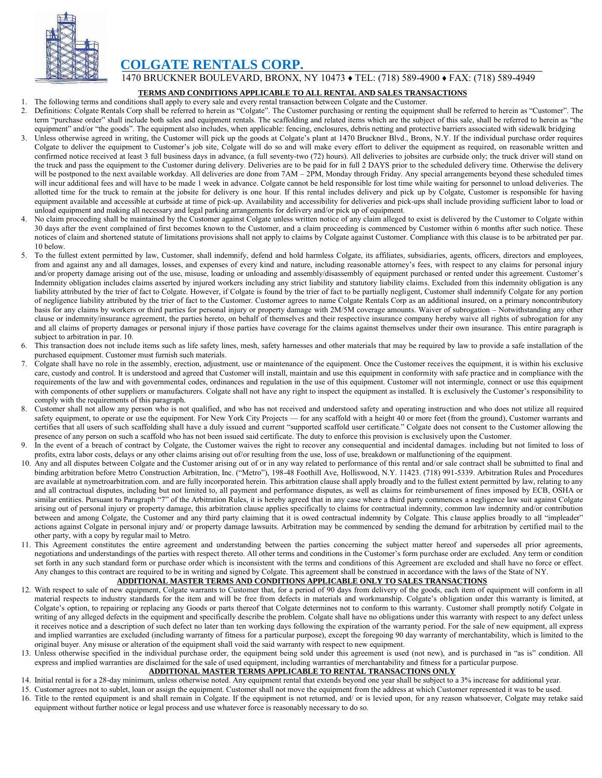

### **COLGATE RENTALS CORP.**

1470 BRUCKNER BOULEVARD, BRONX, NY 10473 ♦ TEL: (718) 589-4900 ♦ FAX: (718) 589-4949

#### **TERMS AND CONDITIONS APPLICABLE TO ALL RENTAL AND SALES TRANSACTIONS**

- 1. The following terms and conditions shall apply to every sale and every rental transaction between Colgate and the Customer.
- 2. Definitions: Colgate Rentals Corp shall be referred to herein as "Colgate". The Customer purchasing or renting the equipment shall be referred to herein as "Customer". The term "purchase order" shall include both sales and equipment rentals. The scaffolding and related items which are the subject of this sale, shall be referred to herein as "the equipment" and/or "the goods". The equipment also includes, when applicable: fencing, enclosures, debris netting and protective barriers associated with sidewalk bridging
- 3. Unless otherwise agreed in writing, the Customer will pick up the goods at Colgate's plant at 1470 Bruckner Blvd., Bronx, N.Y. If the individual purchase order requires Colgate to deliver the equipment to Customer's job site, Colgate will do so and will make every effort to deliver the equipment as required, on reasonable written and confirmed notice received at least 3 full business days in advance, (a full seventy-two (72) hours). All deliveries to jobsites are curbside only; the truck driver will stand on the truck and pass the equipment to the Customer during delivery. Deliveries are to be paid for in full 2 DAYS prior to the scheduled delivery time. Otherwise the delivery will be postponed to the next available workday. All deliveries are done from  $7AM - 2PM$ , Monday through Friday. Any special arrangements beyond these scheduled times will incur additional fees and will have to be made 1 week in advance. Colgate cannot be held responsible for lost time while waiting for personnel to unload deliveries. The allotted time for the truck to remain at the jobsite for delivery is one hour. If this rental includes delivery and pick up by Colgate, Customer is responsible for having equipment available and accessible at curbside at time of pick-up. Availability and accessibility for deliveries and pick-ups shall include providing sufficient labor to load or unload equipment and making all necessary and legal parking arrangements for delivery and/or pick up of equipment.
- 4. No claim proceeding shall be maintained by the Customer against Colgate unless written notice of any claim alleged to exist is delivered by the Customer to Colgate within 30 days after the event complained of first becomes known to the Customer, and a claim proceeding is commenced by Customer within 6 months after such notice. These notices of claim and shortened statute of limitations provisions shall not apply to claims by Colgate against Customer. Compliance with this clause is to be arbitrated per par. 10 below.
- 5. To the fullest extent permitted by law, Customer, shall indemnify, defend and hold harmless Colgate, its affiliates, subsidiaries, agents, officers, directors and employees, from and against any and all damages, losses, and expenses of every kind and nature, including reasonable attorney's fees, with respect to any claims for personal injury and/or property damage arising out of the use, misuse, loading or unloading and assembly/disassembly of equipment purchased or rented under this agreement. Customer's Indemnity obligation includes claims asserted by injured workers including any strict liability and statutory liability claims. Excluded from this indemnity obligation is any liability attributed by the trier of fact to Colgate. However, if Colgate is found by the trier of fact to be partially negligent, Customer shall indemnify Colgate for any portion of negligence liability attributed by the trier of fact to the Customer. Customer agrees to name Colgate Rentals Corp as an additional insured, on a primary noncontributory basis for any claims by workers or third parties for personal injury or property damage with 2M/5M coverage amounts. Waiver of subrogation – Notwithstanding any other clause or indemnity/insurance agreement, the parties hereto, on behalf of themselves and their respective insurance company hereby waive all rights of subrogation for any and all claims of property damages or personal injury if those parties have coverage for the claims against themselves under their own insurance. This entire paragraph is subject to arbitration in par. 10.
- 6. This transaction does not include items such as life safety lines, mesh, safety harnesses and other materials that may be required by law to provide a safe installation of the purchased equipment. Customer must furnish such materials.
- 7. Colgate shall have no role in the assembly, erection, adjustment, use or maintenance of the equipment. Once the Customer receives the equipment, it is within his exclusive care, custody and control. It is understood and agreed that Customer will install, maintain and use this equipment in conformity with safe practice and in compliance with the requirements of the law and with governmental codes, ordinances and regulation in the use of this equipment. Customer will not intermingle, connect or use this equipment with components of other suppliers or manufacturers. Colgate shall not have any right to inspect the equipment as installed. It is exclusively the Customer's responsibility to comply with the requirements of this paragraph.
- 8. Customer shall not allow any person who is not qualified, and who has not received and understood safety and operating instruction and who does not utilize all required safety equipment, to operate or use the equipment. For New York City Projects — for any scaffold with a height 40 or more feet (from the ground), Customer warrants and certifies that all users of such scaffolding shall have a duly issued and current "supported scaffold user certificate." Colgate does not consent to the Customer allowing the presence of any person on such a scaffold who has not been issued said certificate. The duty to enforce this provision is exclusively upon the Customer.
- 9. In the event of a breach of contract by Colgate, the Customer waives the right to recover any consequential and incidental damages. including but not limited to loss of profits, extra labor costs, delays or any other claims arising out of/or resulting from the use, loss of use, breakdown or malfunctioning of the equipment.
- 10. Any and all disputes between Colgate and the Customer arising out of or in any way related to performance of this rental and/or sale contract shall be submitted to final and binding arbitration before Metro Construction Arbitration, Inc. ("Metro"), 198-48 Foothill Ave, Holliswood, N.Y. 11423. (718) 991-5339. Arbitration Rules and Procedures are available at nymetroarbitration.com. and are fully incorporated herein. This arbitration clause shall apply broadly and to the fullest extent permitted by law, relating to any and all contractual disputes, including but not limited to, all payment and performance disputes, as well as claims for reimbursement of fines imposed by ECB, OSHA or similar entities. Pursuant to Paragraph "7" of the Arbitration Rules, it is hereby agreed that in any case where a third party commences a negligence law suit against Colgate arising out of personal injury or property damage, this arbitration clause applies specifically to claims for contractual indemnity, common law indemnity and/or contribution between and among Colgate, the Customer and any third party claiming that it is owed contractual indemnity by Colgate. This clause applies broadly to all "impleader" actions against Colgate in personal injury and/ or property damage lawsuits. Arbitration may be commenced by sending the demand for arbitration by certified mail to the other party, with a copy by regular mail to Metro.
- 11. This Agreement constitutes the entire agreement and understanding between the parties concerning the subject matter hereof and supersedes all prior agreements, negotiations and understandings of the parties with respect thereto. All other terms and conditions in the Customer's form purchase order are excluded. Any term or condition set forth in any such standard form or purchase order which is inconsistent with the terms and conditions of this Agreement are excluded and shall have no force or effect. Any changes to this contract are required to be in writing and signed by Colgate. This agreement shall be construed in accordance with the laws of the State of NY.

#### **ADDITIONAL MASTER TERMS AND CONDITIONS APPLICABLE ONLY TO SALES TRANSACTIONS**

- 12. With respect to sale of new equipment, Colgate warrants to Customer that, for a period of 90 days from delivery of the goods, each item of equipment will conform in all material respects to industry standards for the item and will be free from defects in materials and workmanship. Colgate's obligation under this warranty is limited, at Colgate's option, to repairing or replacing any Goods or parts thereof that Colgate determines not to conform to this warranty. Customer shall promptly notify Colgate in writing of any alleged defects in the equipment and specifically describe the problem. Colgate shall have no obligations under this warranty with respect to any defect unless it receives notice and a description of such defect no later than ten working days following the expiration of the warranty period. For the sale of new equipment, all express and implied warranties are excluded (including warranty of fitness for a particular purpose), except the foregoing 90 day warranty of merchantability, which is limited to the original buyer. Any misuse or alteration of the equipment shall void the said warranty with respect to new equipment.
- 13. Unless otherwise specified in the individual purchase order, the equipment being sold under this agreement is used (not new), and is purchased in "as is" condition. All express and implied warranties are disclaimed for the sale of used equipment, including warranties of merchantability and fitness for a particular purpose.

#### **ADDITIONAL MASTER TERMS APPLICABLE TO RENTAL TRANSACTIONS ONLY**

- 14. Initial rental is for a 28-day minimum, unless otherwise noted. Any equipment rental that extends beyond one year shall be subject to a 3% increase for additional year.
- 15. Customer agrees not to sublet, loan or assign the equipment. Customer shall not move the equipment from the address at which Customer represented it was to be used. 16. Title to the rented equipment is and shall remain in Colgate. If the equipment is not returned, and/ or is levied upon, for any reason whatsoever, Colgate may retake said equipment without further notice or legal process and use whatever force is reasonably necessary to do so.